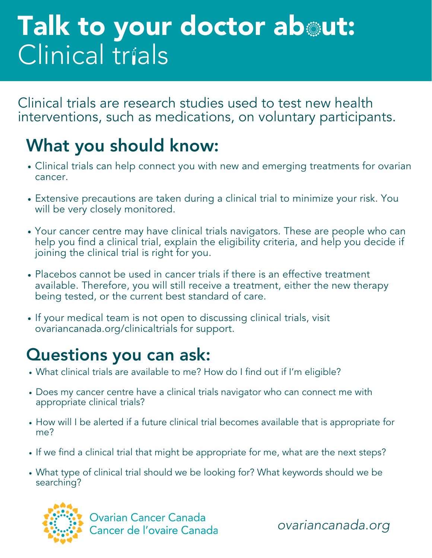# Talk to your doctor about: Clinical trials

Clinical trials are research studies used to test new health interventions, such as medications, on voluntary participants.

## What you should know:

- Clinical trials can help connect you with new and emerging treatments for ovarian cancer.
- Extensive precautions are taken during a clinical trial to minimize your risk. You will be very closely monitored.
- Your cancer centre may have clinical trials navigators. These are people who can help you find a clinical trial, explain the eligibility criteria, and help you decide if joining the clinical trial is right for you.
- Placebos cannot be used in cancer trials if there is an effective treatment available. Therefore, you will still receive a treatment, either the new therapy being tested, or the current best standard of care.
- If your medical team is not open to discussing clinical trials, visit ovariancanada.org/clinicaltrials for support.

### Questions you can ask:

- What clinical trials are available to me? How do I find out if I'm eligible?
- Does my cancer centre have a clinical trials navigator who can connect me with appropriate clinical trials?
- How will I be alerted if a future clinical trial becomes available that is appropriate for me?
- If we find a clinical trial that might be appropriate for me, what are the next steps?
- What type of clinical trial should we be looking for? What keywords should we be searching?



**Ovarian Cancer Canada** Cancer de l'ovaire Canada

ovariancanada.org